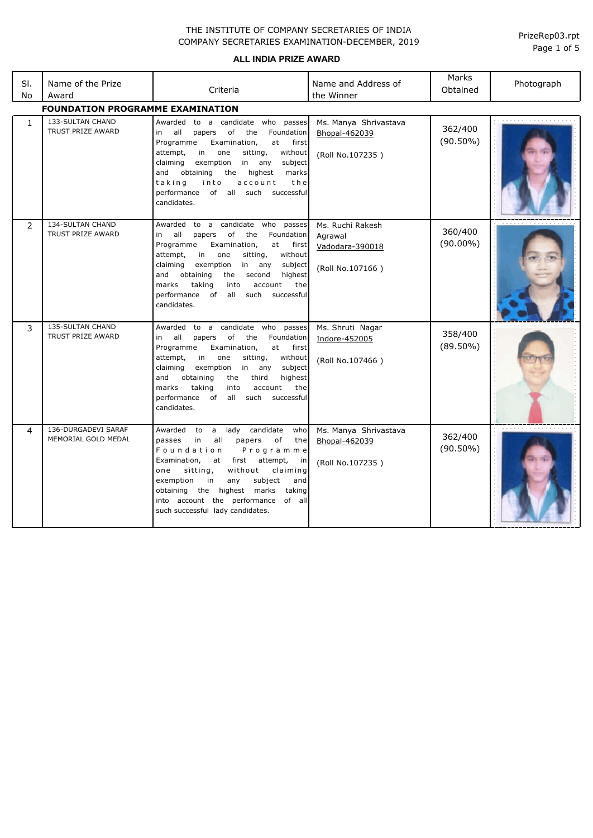**ALL INDIA PRIZE AWARD**

| SI.<br>No     | Name of the Prize<br>Award                   | Criteria                                                                                                                                                                                                                                                                                                                                                                     | Name and Address of<br>the Winner                                  | Marks<br>Obtained      | Photograph |  |  |
|---------------|----------------------------------------------|------------------------------------------------------------------------------------------------------------------------------------------------------------------------------------------------------------------------------------------------------------------------------------------------------------------------------------------------------------------------------|--------------------------------------------------------------------|------------------------|------------|--|--|
|               | <b>FOUNDATION PROGRAMME EXAMINATION</b>      |                                                                                                                                                                                                                                                                                                                                                                              |                                                                    |                        |            |  |  |
| $\mathbf{1}$  | 133-SULTAN CHAND<br>TRUST PRIZE AWARD        | Awarded to a candidate who passes<br>in all<br>papers of<br>the<br>Foundation<br>Programme<br>Examination,<br>at<br>first<br>attempt,<br>in<br>one<br>sitting,<br>without<br>claiming<br>exemption<br>in any<br>subject<br>and<br>obtaining<br>the<br>highest<br>marks<br>taking<br>into<br>account<br>the<br>performance of all such successful<br>candidates.              | Ms. Manya Shrivastava<br>Bhopal-462039<br>(Roll No.107235)         | 362/400<br>$(90.50\%)$ |            |  |  |
| $\mathcal{P}$ | <b>134-SULTAN CHAND</b><br>TRUST PRIZE AWARD | Awarded to a candidate who passes<br>in all<br>papers of<br>the<br>Foundation<br>Programme<br>Examination,<br>at first<br>attempt,<br>in<br>one<br>sitting,<br>without<br>claiming<br>exemption<br>in any<br>subject<br>and obtaining<br>the<br>second<br>highest<br>marks<br>taking<br>the<br>into<br>account<br>performance of<br>all<br>such<br>successful<br>candidates. | Ms. Ruchi Rakesh<br>Agrawal<br>Vadodara-390018<br>(Roll No.107166) | 360/400<br>$(90.00\%)$ |            |  |  |
| 3             | 135-SULTAN CHAND<br><b>TRUST PRIZE AWARD</b> | Awarded to a candidate who passes<br>papers of<br>all<br>the<br>Foundation<br>in<br>Programme<br>at<br>Examination,<br>first<br>sitting,<br>without<br>attempt,<br>in<br>one<br>claiming<br>exemption<br>in any<br>subject<br>obtaining<br>highest<br>and<br>the<br>third<br>taking<br>marks<br>account<br>the<br>into<br>performance of all such successful<br>candidates.  | Ms. Shruti Nagar<br>Indore-452005<br>(Roll No.107466)              | 358/400<br>$(89.50\%)$ |            |  |  |
| 4             | 136-DURGADEVI SARAF<br>MEMORIAL GOLD MEDAL   | Awarded to a lady candidate<br>who<br>passes<br>all<br>papers<br>of<br>the<br>in<br>Foundation<br>Programme<br>Examination,<br>at first attempt,<br>in<br>sitting,<br>without<br>claiming<br>one<br>exemption<br>in<br>subject<br>and<br>any<br>obtaining the highest marks<br>taking<br>into account the performance of all<br>such successful lady candidates.             | Ms. Manya Shrivastava<br>Bhopal-462039<br>(Roll No.107235)         | 362/400<br>$(90.50\%)$ |            |  |  |

Page 1 of 5 PrizeRep03.rpt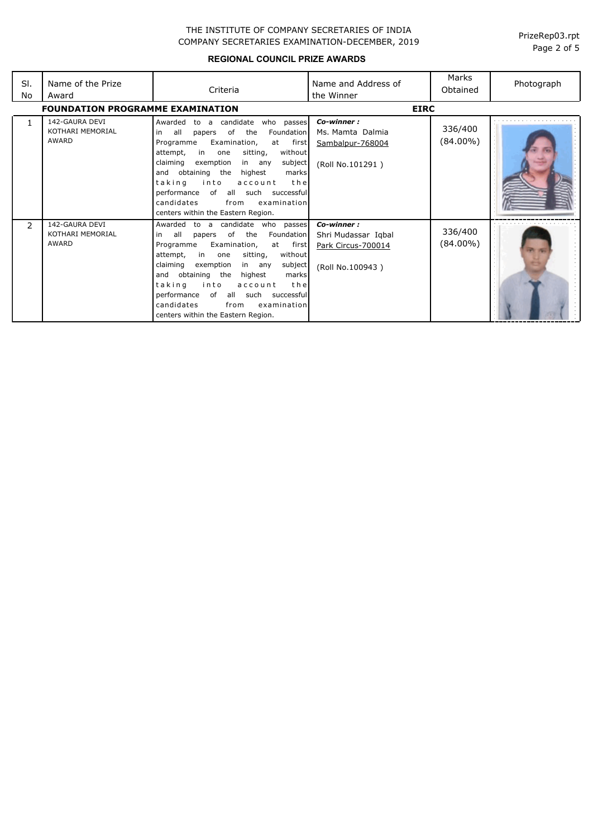**REGIONAL COUNCIL PRIZE AWARDS**

| SI.<br>No | Name of the Prize<br>Award                         | Criteria                                                                                                                                                                                                                                                                                                                                                                                                                                      | Name and Address of<br>the Winner                                           | Marks<br>Obtained      | Photograph |
|-----------|----------------------------------------------------|-----------------------------------------------------------------------------------------------------------------------------------------------------------------------------------------------------------------------------------------------------------------------------------------------------------------------------------------------------------------------------------------------------------------------------------------------|-----------------------------------------------------------------------------|------------------------|------------|
|           | <b>FOUNDATION PROGRAMME EXAMINATION</b>            |                                                                                                                                                                                                                                                                                                                                                                                                                                               | <b>EIRC</b>                                                                 |                        |            |
|           | 142-GAURA DEVI<br>KOTHARI MEMORIAL<br><b>AWARD</b> | candidate<br>Awarded<br>who passes<br>to<br>a<br>the<br>all<br>of<br>Foundation<br>papers<br>in<br>first<br>Examination,<br>at<br>Programme<br>without<br>in<br>sitting,<br>attempt,<br>one<br>claiming<br>exemption<br>subject<br>in any<br>and obtaining the<br>highest<br>marks<br>taking<br>into<br>the<br>account<br>performance<br>of all such<br>successful<br>candidates<br>from<br>examination<br>centers within the Eastern Region. | Co-winner:<br>Ms. Mamta Dalmia<br>Sambalpur-768004<br>(Roll No.101291)      | 336/400<br>(84.00%)    |            |
| 2         | 142-GAURA DEVI<br>KOTHARI MEMORIAL<br>AWARD        | Awarded<br>candidate who passes<br>to a<br>of the<br>all<br>Foundation<br>papers<br>in<br>Programme<br>Examination,<br>first<br>at<br>without<br>in<br>sitting,<br>attempt,<br>one<br>claiming<br>exemption<br>subject<br>in any<br>and obtaining the<br>highest<br>marks<br>taking<br>into<br>the<br>account<br>performance<br>all such successful<br>of<br>candidates<br>examination<br>from<br>centers within the Eastern Region.          | Co-winner:<br>Shri Mudassar Igbal<br>Park Circus-700014<br>(Roll No.100943) | 336/400<br>$(84.00\%)$ |            |

Page 2 of 5 PrizeRep03.rpt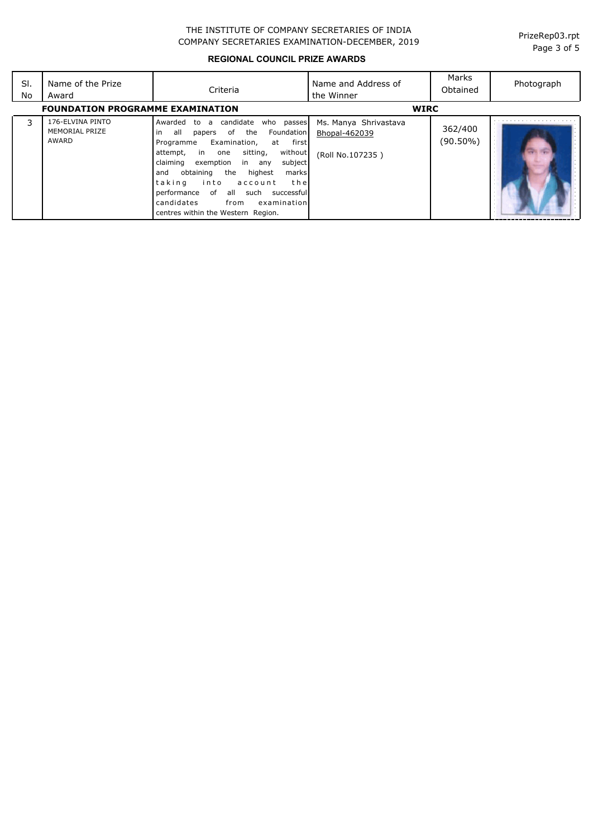Page 3 of 5 PrizeRep03.rpt

## **REGIONAL COUNCIL PRIZE AWARDS**

| SI.<br>No | Name of the Prize<br>Award                  | Criteria                                                                                                                                                                                                                                                                                                                                                                                                                       | Name and Address of<br>the Winner                          | Marks<br>Obtained   | Photograph |
|-----------|---------------------------------------------|--------------------------------------------------------------------------------------------------------------------------------------------------------------------------------------------------------------------------------------------------------------------------------------------------------------------------------------------------------------------------------------------------------------------------------|------------------------------------------------------------|---------------------|------------|
|           | <b>FOUNDATION PROGRAMME EXAMINATION</b>     |                                                                                                                                                                                                                                                                                                                                                                                                                                | <b>WIRC</b>                                                |                     |            |
| 3         | 176-ELVINA PINTO<br>MEMORIAL PRIZE<br>AWARD | candidate<br>Awarded<br>who passes<br>to<br>a<br>all<br>of the<br>Foundation  <br>in<br>papers<br>Examination,<br>at first<br>Programme<br>without<br>in one<br>sitting,<br>attempt,<br>exemption in any<br>subject<br>claiming<br>highest<br>and obtaining the<br>marks<br>thel<br>taking<br>into<br>account<br>performance of all such successful<br>candidates<br>from<br>examination<br>centres within the Western Region. | Ms. Manya Shrivastava<br>Bhopal-462039<br>(Roll No.107235) | 362/400<br>(90.50%) |            |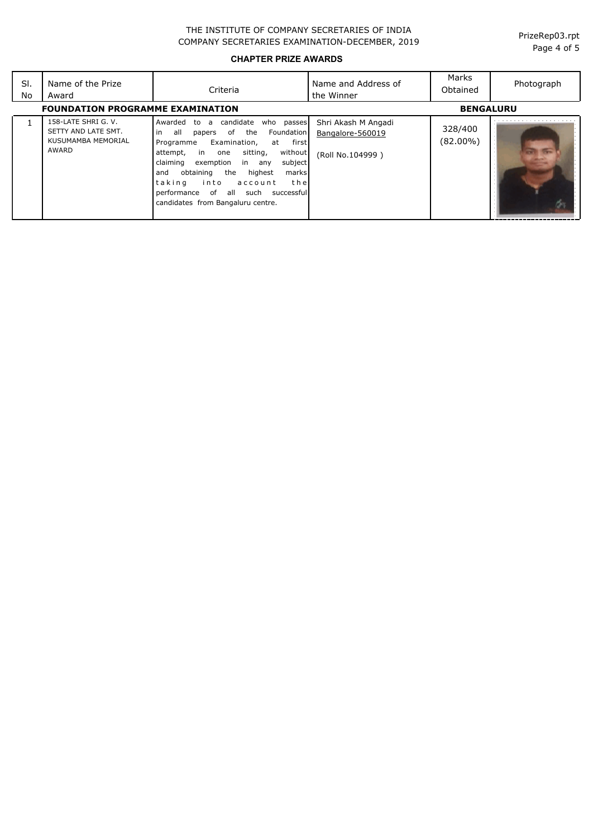**CHAPTER PRIZE AWARDS**

| SI.<br>No                               | Name of the Prize<br>Award                                                | Criteria                                                                                                                                                                                                                                                                                                                                                                                    | Name and Address of<br>the Winner                           | Marks<br>Obtained      | Photograph       |
|-----------------------------------------|---------------------------------------------------------------------------|---------------------------------------------------------------------------------------------------------------------------------------------------------------------------------------------------------------------------------------------------------------------------------------------------------------------------------------------------------------------------------------------|-------------------------------------------------------------|------------------------|------------------|
| <b>FOUNDATION PROGRAMME EXAMINATION</b> |                                                                           |                                                                                                                                                                                                                                                                                                                                                                                             |                                                             |                        | <b>BENGALURU</b> |
|                                         | 158-LATE SHRI G. V.<br>SETTY AND LATE SMT.<br>KUSUMAMBA MEMORIAL<br>AWARD | candidate<br>who passes<br>Awarded to<br>a<br>l in<br>of<br>the<br>Foundation<br>all<br>papers<br>first<br>Examination,<br>Programme<br>at<br>without<br>sitting,<br>attempt, in one<br>claiming<br>exemption in any<br>subject<br>obtaining the<br>highest<br>marks<br>and<br>ltaking<br>into<br>the<br>account<br>performance of all such successful<br>candidates from Bangaluru centre. | Shri Akash M Angadi<br>Bangalore-560019<br>(Roll No.104999) | 328/400<br>$(82.00\%)$ | <b>Sept.</b>     |

Page 4 of 5 PrizeRep03.rpt